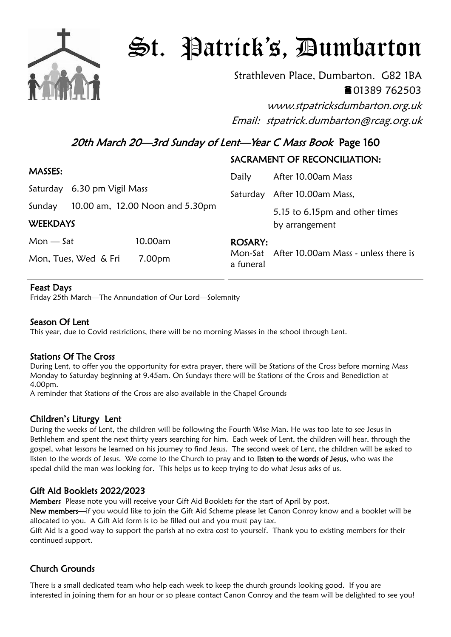

# St. Patrick's, Dumbarton

Strathleven Place, Dumbarton. G82 1BA 01389 762503

www.stpatricksdumbarton.org.uk Email: stpatrick.dumbarton@rcag.org.uk

20th March 20-3rd Sunday of Lent-Year C Mass Book Page 160

## SACRAMENT OF RECONCILIATION:

| MASSES:                   |                                 |         | Daily                       | After 10.00am Mass                               |
|---------------------------|---------------------------------|---------|-----------------------------|--------------------------------------------------|
|                           | Saturday 6.30 pm Vigil Mass     |         |                             | Saturday After 10.00am Mass,                     |
| Sunday<br><b>WEEKDAYS</b> | 10.00 am, 12.00 Noon and 5.30pm |         |                             | 5.15 to 6.15pm and other times<br>by arrangement |
| $Mon - Sat$               |                                 | 10.00am | <b>ROSARY:</b><br>a funeral | Mon-Sat After 10.00am Mass - unless there is     |
| Mon, Tues, Wed & Fri      |                                 | 7.00pm  |                             |                                                  |

#### Feast Days

Friday 25th March—The Annunciation of Our Lord—Solemnity

## Season Of Lent

This year, due to Covid restrictions, there will be no morning Masses in the school through Lent.

## Stations Of The Cross

During Lent, to offer you the opportunity for extra prayer, there will be Stations of the Cross before morning Mass Monday to Saturday beginning at 9.45am. On Sundays there will be Stations of the Cross and Benediction at 4.00pm.

A reminder that Stations of the Cross are also available in the Chapel Grounds

# Children's Liturgy Lent

During the weeks of Lent, the children will be following the Fourth Wise Man. He was too late to see Jesus in Bethlehem and spent the next thirty years searching for him. Each week of Lent, the children will hear, through the gospel, what lessons he learned on his journey to find Jesus. The second week of Lent, the children will be asked to listen to the words of Jesus. We come to the Church to pray and to listen to the words of Jesus, who was the special child the man was looking for. This helps us to keep trying to do what Jesus asks of us.

# Gift Aid Booklets 2022/2023

Members Please note you will receive your Gift Aid Booklets for the start of April by post.

New members—if you would like to join the Gift Aid Scheme please let Canon Conroy know and a booklet will be allocated to you. A Gift Aid form is to be filled out and you must pay tax.

Gift Aid is a good way to support the parish at no extra cost to yourself. Thank you to existing members for their continued support.

# Church Grounds

There is a small dedicated team who help each week to keep the church grounds looking good. If you are interested in joining them for an hour or so please contact Canon Conroy and the team will be delighted to see you!